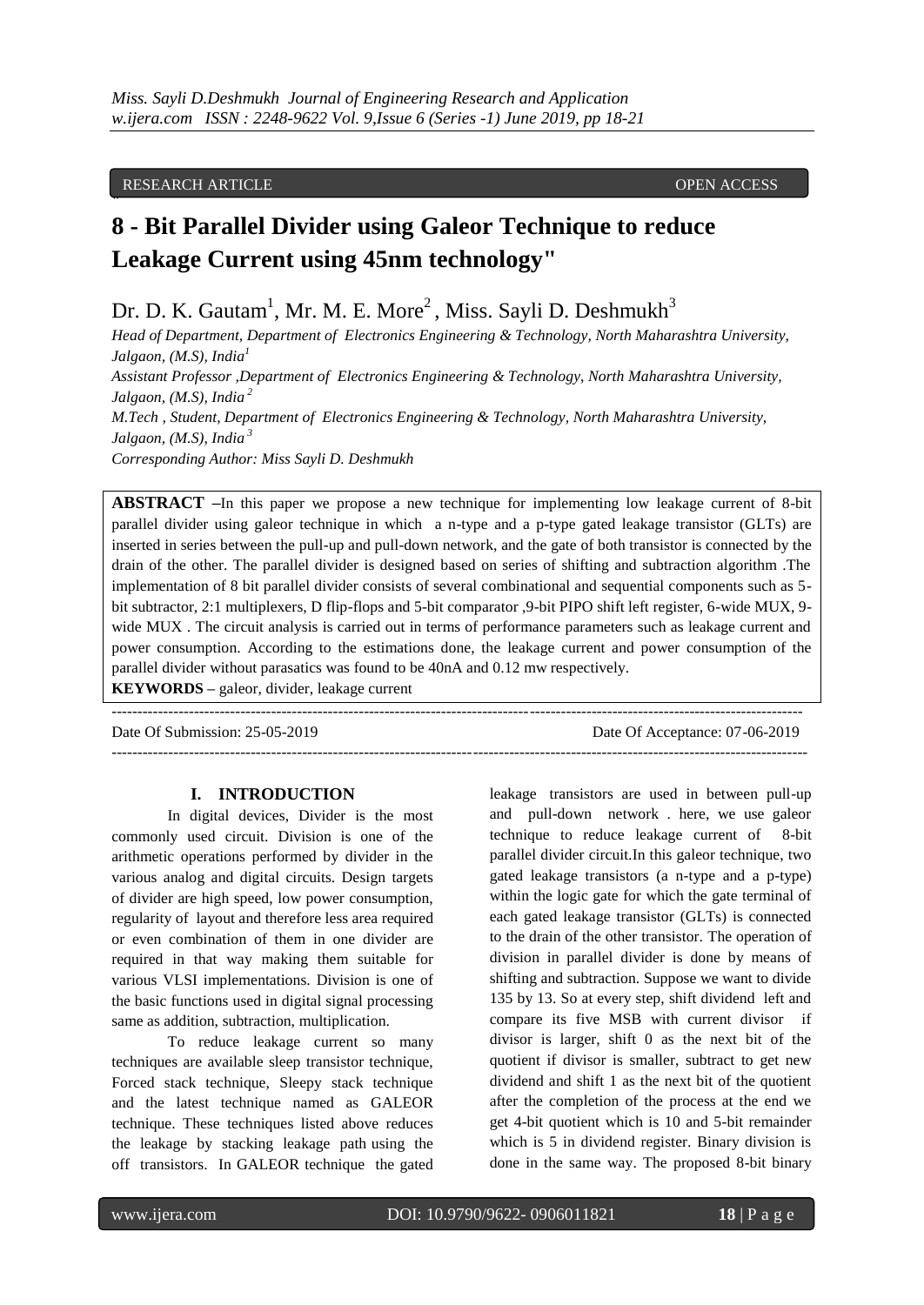#### RESEARCH ARTICLE **OPEN ACCESS**

**"**

# **8 - Bit Parallel Divider using Galeor Technique to reduce Leakage Current using 45nm technology"**

Dr. D. K. Gautam<sup>1</sup>, Mr. M. E. More<sup>2</sup>, Miss. Sayli D. Deshmukh<sup>3</sup>

*Head of Department, Department of Electronics Engineering & Technology, North Maharashtra University, Jalgaon, (M.S), India<sup>1</sup> Assistant Professor ,Department of Electronics Engineering & Technology, North Maharashtra University, Jalgaon, (M.S), India <sup>2</sup> M.Tech , Student, Department of Electronics Engineering & Technology, North Maharashtra University, Jalgaon, (M.S), India <sup>3</sup> Corresponding Author: Miss Sayli D. Deshmukh* 

**ABSTRACT –**In this paper we propose a new technique for implementing low leakage current of 8-bit parallel divider using galeor technique in which a n-type and a p-type gated leakage transistor (GLTs) are inserted in series between the pull-up and pull-down network, and the gate of both transistor is connected by the drain of the other. The parallel divider is designed based on series of shifting and subtraction algorithm .The implementation of 8 bit parallel divider consists of several combinational and sequential components such as 5 bit subtractor, 2:1 multiplexers, D flip-flops and 5-bit comparator ,9-bit PIPO shift left register, 6-wide MUX, 9 wide MUX . The circuit analysis is carried out in terms of performance parameters such as leakage current and power consumption. According to the estimations done, the leakage current and power consumption of the parallel divider without parasatics was found to be 40nA and 0.12 mw respectively. **KEYWORDS –** galeor, divider, leakage current

---------------------------------------------------------------------------------------------------------------------------------------

--------------------------------------------------------------------------------------------------------------------------------------

Date Of Submission: 25-05-2019 Date Of Acceptance: 07-06-2019

#### **I. INTRODUCTION**

In digital devices, Divider is the most commonly used circuit. Division is one of the arithmetic operations performed by divider in the various analog and digital circuits. Design targets of divider are high speed, low power consumption, regularity of layout and therefore less area required or even combination of them in one divider are required in that way making them suitable for various VLSI implementations. Division is one of the basic functions used in digital signal processing same as addition, subtraction, multiplication.

To reduce leakage current so many techniques are available sleep transistor technique, Forced stack technique, Sleepy stack technique and the latest technique named as GALEOR technique. These techniques listed above reduces the leakage by stacking leakage path using the off transistors. In GALEOR technique the gated leakage transistors are used in between pull-up and pull-down network . here, we use galeor technique to reduce leakage current of 8-bit parallel divider circuit.In this galeor technique, two gated leakage transistors (a n-type and a p-type) within the logic gate for which the gate terminal of each gated leakage transistor (GLTs) is connected to the drain of the other transistor. The operation of division in parallel divider is done by means of shifting and subtraction. Suppose we want to divide 135 by 13. So at every step, shift dividend left and compare its five MSB with current divisor if divisor is larger, shift 0 as the next bit of the quotient if divisor is smaller, subtract to get new dividend and shift 1 as the next bit of the quotient after the completion of the process at the end we get 4-bit quotient which is 10 and 5-bit remainder which is 5 in dividend register. Binary division is done in the same way. The proposed 8-bit binary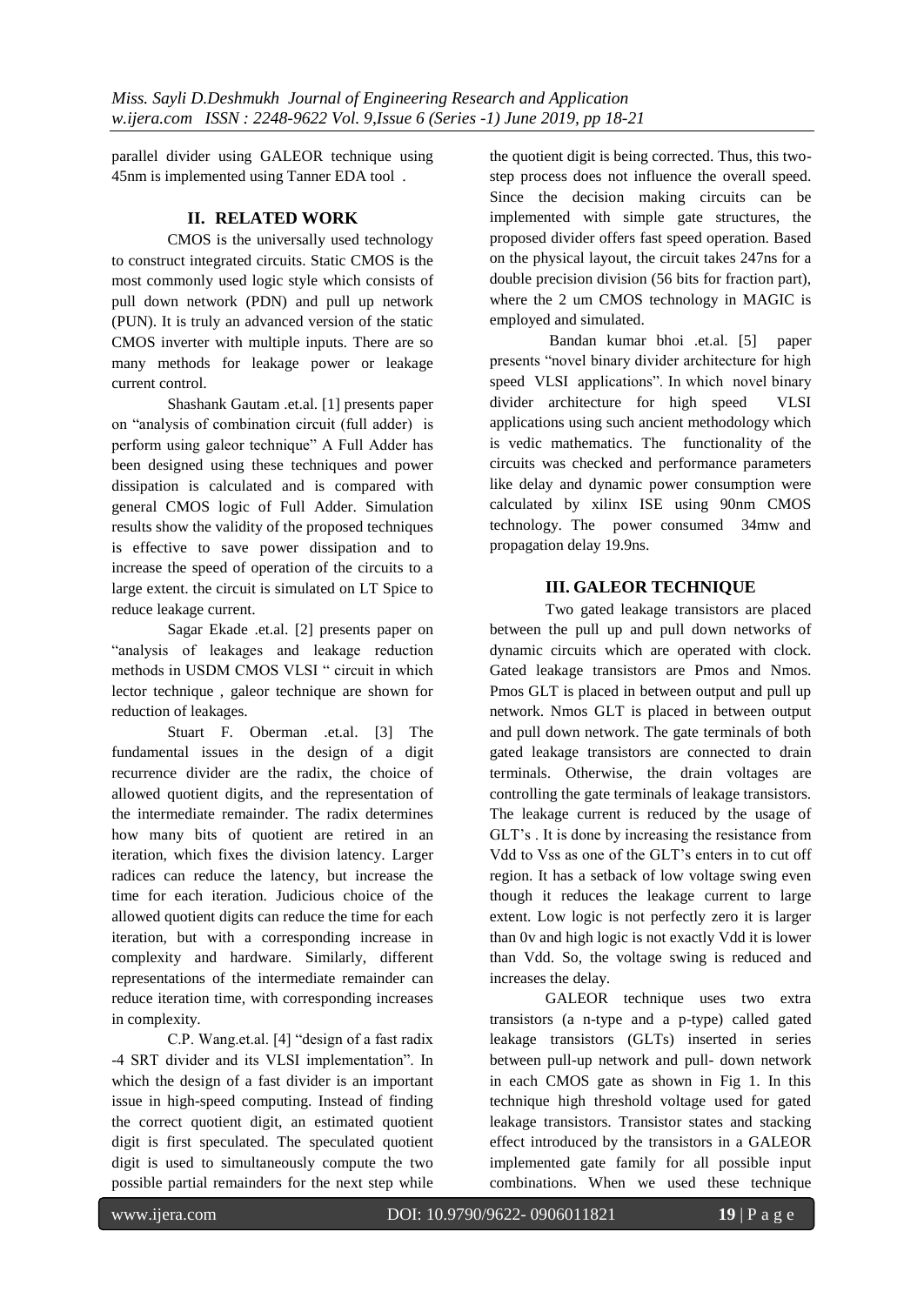parallel divider using GALEOR technique using 45nm is implemented using Tanner EDA tool .

## **II. RELATED WORK**

CMOS is the universally used technology to construct integrated circuits. Static CMOS is the most commonly used logic style which consists of pull down network (PDN) and pull up network (PUN). It is truly an advanced version of the static CMOS inverter with multiple inputs. There are so many methods for leakage power or leakage current control.

Shashank Gautam .et.al. [1] presents paper on "analysis of combination circuit (full adder) is perform using galeor technique" A Full Adder has been designed using these techniques and power dissipation is calculated and is compared with general CMOS logic of Full Adder. Simulation results show the validity of the proposed techniques is effective to save power dissipation and to increase the speed of operation of the circuits to a large extent. the circuit is simulated on LT Spice to reduce leakage current.

Sagar Ekade .et.al. [2] presents paper on "analysis of leakages and leakage reduction methods in USDM CMOS VLSI " circuit in which lector technique , galeor technique are shown for reduction of leakages.

Stuart F. Oberman .et.al. [3] The fundamental issues in the design of a digit recurrence divider are the radix, the choice of allowed quotient digits, and the representation of the intermediate remainder. The radix determines how many bits of quotient are retired in an iteration, which fixes the division latency. Larger radices can reduce the latency, but increase the time for each iteration. Judicious choice of the allowed quotient digits can reduce the time for each iteration, but with a corresponding increase in complexity and hardware. Similarly, different representations of the intermediate remainder can reduce iteration time, with corresponding increases in complexity.

C.P. Wang.et.al. [4] "design of a fast radix -4 SRT divider and its VLSI implementation". In which the design of a fast divider is an important issue in high-speed computing. Instead of finding the correct quotient digit, an estimated quotient digit is first speculated. The speculated quotient digit is used to simultaneously compute the two possible partial remainders for the next step while

the quotient digit is being corrected. Thus, this twostep process does not influence the overall speed. Since the decision making circuits can be implemented with simple gate structures, the proposed divider offers fast speed operation. Based on the physical layout, the circuit takes 247ns for a double precision division (56 bits for fraction part), where the 2 um CMOS technology in MAGIC is employed and simulated.

Bandan kumar bhoi .et.al. [5] paper presents "novel binary divider architecture for high speed VLSI applications". In which novel binary divider architecture for high speed VLSI applications using such ancient methodology which is vedic mathematics. The functionality of the circuits was checked and performance parameters like delay and dynamic power consumption were calculated by xilinx ISE using 90nm CMOS technology. The power consumed 34mw and propagation delay 19.9ns.

## **III. GALEOR TECHNIQUE**

Two gated leakage transistors are placed between the pull up and pull down networks of dynamic circuits which are operated with clock. Gated leakage transistors are Pmos and Nmos. Pmos GLT is placed in between output and pull up network. Nmos GLT is placed in between output and pull down network. The gate terminals of both gated leakage transistors are connected to drain terminals. Otherwise, the drain voltages are controlling the gate terminals of leakage transistors. The leakage current is reduced by the usage of GLT"s . It is done by increasing the resistance from Vdd to Vss as one of the GLT"s enters in to cut off region. It has a setback of low voltage swing even though it reduces the leakage current to large extent. Low logic is not perfectly zero it is larger than 0v and high logic is not exactly Vdd it is lower than Vdd. So, the voltage swing is reduced and increases the delay.

GALEOR technique uses two extra transistors (a n-type and a p-type) called gated leakage transistors (GLTs) inserted in series between pull-up network and pull- down network in each CMOS gate as shown in Fig 1. In this technique high threshold voltage used for gated leakage transistors. Transistor states and stacking effect introduced by the transistors in a GALEOR implemented gate family for all possible input combinations. When we used these technique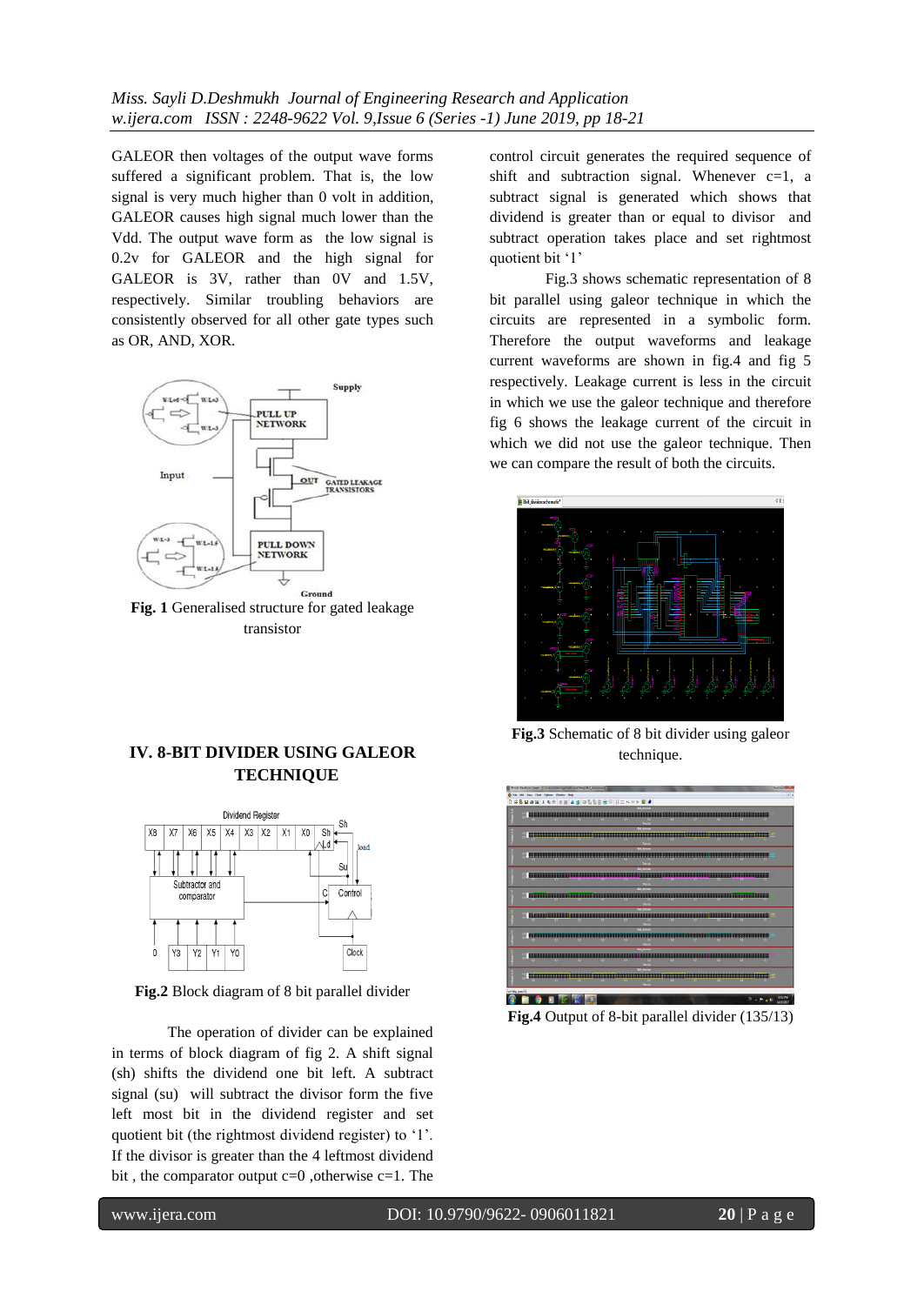GALEOR then voltages of the output wave forms suffered a significant problem. That is, the low signal is very much higher than 0 volt in addition, GALEOR causes high signal much lower than the Vdd. The output wave form as the low signal is 0.2v for GALEOR and the high signal for GALEOR is 3V, rather than 0V and 1.5V, respectively. Similar troubling behaviors are consistently observed for all other gate types such as OR, AND, XOR.



**Fig. 1** Generalised structure for gated leakage transistor

# **IV. 8-BIT DIVIDER USING GALEOR TECHNIQUE**



**Fig.2** Block diagram of 8 bit parallel divider

The operation of divider can be explained in terms of block diagram of fig 2. A shift signal (sh) shifts the dividend one bit left. A subtract signal (su) will subtract the divisor form the five left most bit in the dividend register and set quotient bit (the rightmost dividend register) to '1'. If the divisor is greater than the 4 leftmost dividend bit, the comparator output  $c=0$ , otherwise  $c=1$ . The

control circuit generates the required sequence of shift and subtraction signal. Whenever  $c=1$ , a subtract signal is generated which shows that dividend is greater than or equal to divisor and subtract operation takes place and set rightmost quotient bit '1'

Fig.3 shows schematic representation of 8 bit parallel using galeor technique in which the circuits are represented in a symbolic form. Therefore the output waveforms and leakage current waveforms are shown in fig.4 and fig 5 respectively. Leakage current is less in the circuit in which we use the galeor technique and therefore fig 6 shows the leakage current of the circuit in which we did not use the galeor technique. Then we can compare the result of both the circuits.



**Fig.3** Schematic of 8 bit divider using galeor technique.



**Fig.4** Output of 8-bit parallel divider (135/13)